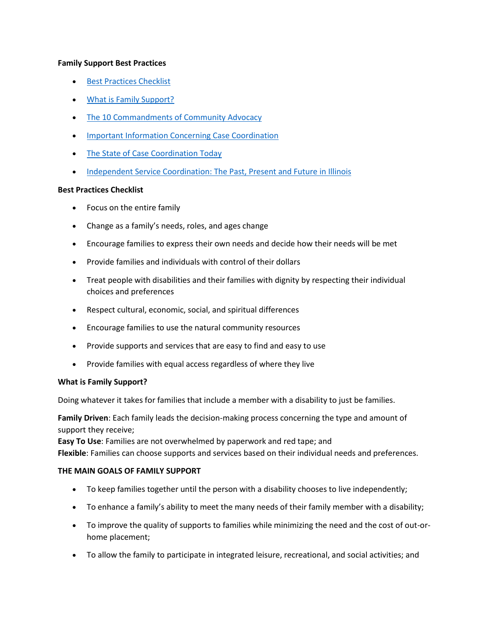# **Family Support Best Practices**

- [Best Practices Checklist](https://www.familysupportnetwork.org/who-we-are/#BestPractices)
- [What is Family Support?](https://www.familysupportnetwork.org/who-we-are/#WhatIsFamilySupport)
- [The 10 Commandments of Community Advocacy](https://www.familysupportnetwork.org/who-we-are/#TenCommandments)
- **[Important Information Concerning Case Coordination](https://www.familysupportnetwork.org/who-we-are/#Information)**
- [The State of Case Coordination Today](https://www.familysupportnetwork.org/who-we-are/#StateCase)
- [Independent Service Coordination: The Past, Present and Future in Illinois](https://www.familysupportnetwork.org/who-we-are/#Independent)

#### **Best Practices Checklist**

- Focus on the entire family
- Change as a family's needs, roles, and ages change
- Encourage families to express their own needs and decide how their needs will be met
- Provide families and individuals with control of their dollars
- Treat people with disabilities and their families with dignity by respecting their individual choices and preferences
- Respect cultural, economic, social, and spiritual differences
- Encourage families to use the natural community resources
- Provide supports and services that are easy to find and easy to use
- Provide families with equal access regardless of where they live

# **What is Family Support?**

Doing whatever it takes for families that include a member with a disability to just be families.

**Family Driven**: Each family leads the decision-making process concerning the type and amount of support they receive;

**Easy To Use**: Families are not overwhelmed by paperwork and red tape; and **Flexible**: Families can choose supports and services based on their individual needs and preferences.

# **THE MAIN GOALS OF FAMILY SUPPORT**

- To keep families together until the person with a disability chooses to live independently;
- To enhance a family's ability to meet the many needs of their family member with a disability;
- To improve the quality of supports to families while minimizing the need and the cost of out-orhome placement;
- To allow the family to participate in integrated leisure, recreational, and social activities; and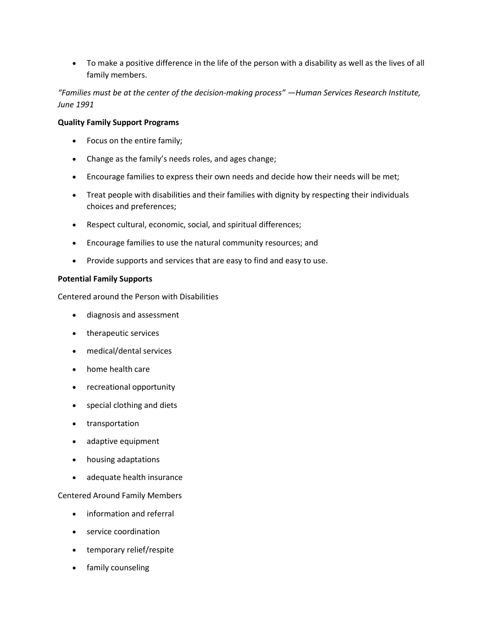To make a positive difference in the life of the person with a disability as well as the lives of all family members.

*"Families must be at the center of the decision-making process" —Human Services Research Institute, June 1991*

#### **Quality Family Support Programs**

- Focus on the entire family;
- Change as the family's needs roles, and ages change;
- Encourage families to express their own needs and decide how their needs will be met;
- Treat people with disabilities and their families with dignity by respecting their individuals choices and preferences;
- Respect cultural, economic, social, and spiritual differences;
- Encourage families to use the natural community resources; and
- Provide supports and services that are easy to find and easy to use.

#### **Potential Family Supports**

Centered around the Person with Disabilities

- diagnosis and assessment
- therapeutic services
- medical/dental services
- home health care
- recreational opportunity
- special clothing and diets
- transportation
- adaptive equipment
- housing adaptations
- adequate health insurance

# Centered Around Family Members

- information and referral
- service coordination
- temporary relief/respite
- family counseling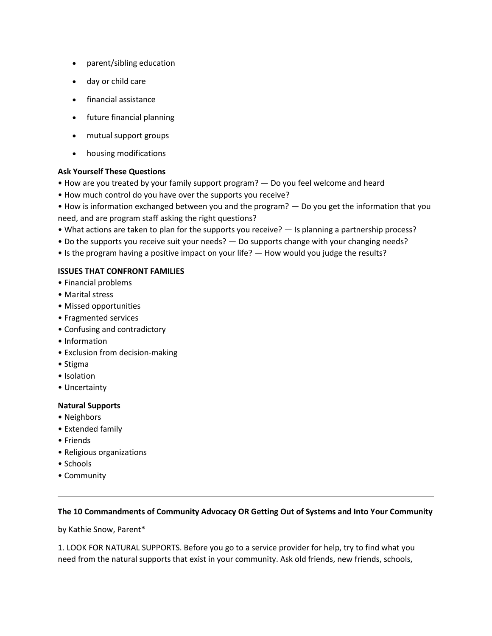- parent/sibling education
- day or child care
- financial assistance
- future financial planning
- mutual support groups
- housing modifications

# **Ask Yourself These Questions**

- How are you treated by your family support program? Do you feel welcome and heard
- How much control do you have over the supports you receive?
- How is information exchanged between you and the program? Do you get the information that you need, and are program staff asking the right questions?
- What actions are taken to plan for the supports you receive? Is planning a partnership process?
- Do the supports you receive suit your needs? Do supports change with your changing needs?
- Is the program having a positive impact on your life? How would you judge the results?

# **ISSUES THAT CONFRONT FAMILIES**

- Financial problems
- Marital stress
- Missed opportunities
- Fragmented services
- Confusing and contradictory
- Information
- Exclusion from decision-making
- Stigma
- Isolation
- Uncertainty

# **Natural Supports**

- Neighbors
- Extended family
- Friends
- Religious organizations
- Schools
- Community

# **The 10 Commandments of Community Advocacy OR Getting Out of Systems and Into Your Community**

by Kathie Snow, Parent\*

1. LOOK FOR NATURAL SUPPORTS. Before you go to a service provider for help, try to find what you need from the natural supports that exist in your community. Ask old friends, new friends, schools,